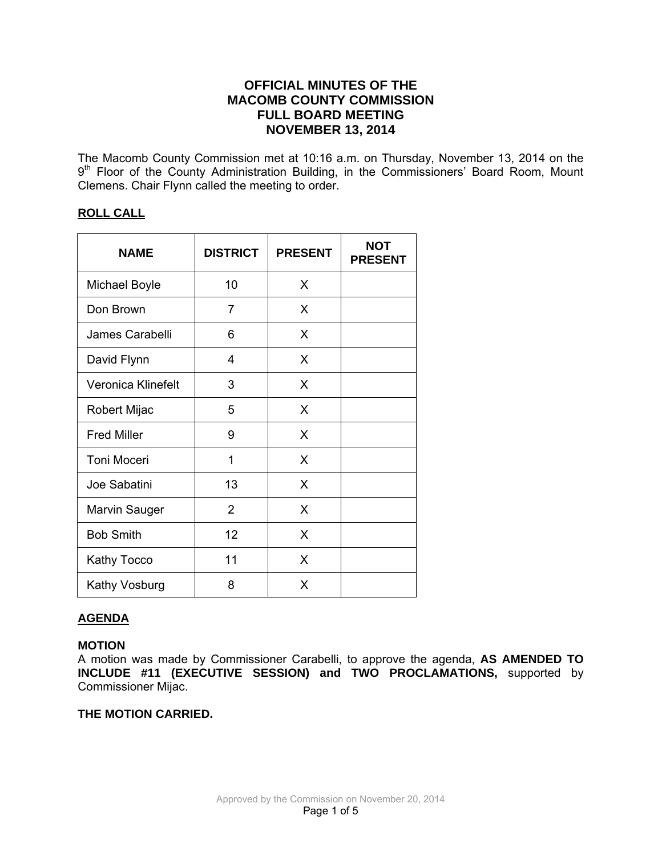# **OFFICIAL MINUTES OF THE MACOMB COUNTY COMMISSION FULL BOARD MEETING NOVEMBER 13, 2014**

The Macomb County Commission met at 10:16 a.m. on Thursday, November 13, 2014 on the 9<sup>th</sup> Floor of the County Administration Building, in the Commissioners' Board Room, Mount Clemens. Chair Flynn called the meeting to order.

# **ROLL CALL**

| <b>NAME</b>        | <b>DISTRICT</b> | <b>PRESENT</b> | <b>NOT</b><br><b>PRESENT</b> |
|--------------------|-----------------|----------------|------------------------------|
| Michael Boyle      | 10              | X              |                              |
| Don Brown          | 7               | X              |                              |
| James Carabelli    | 6               | X              |                              |
| David Flynn        | 4               | X              |                              |
| Veronica Klinefelt | 3               | X              |                              |
| Robert Mijac       | 5               | X              |                              |
| <b>Fred Miller</b> | 9               | X              |                              |
| <b>Toni Moceri</b> | 1               | X              |                              |
| Joe Sabatini       | 13              | X              |                              |
| Marvin Sauger      | $\overline{2}$  | X              |                              |
| <b>Bob Smith</b>   | 12              | X              |                              |
| Kathy Tocco        | 11              | X              |                              |
| Kathy Vosburg      | 8               | X              |                              |

## **AGENDA**

## **MOTION**

A motion was made by Commissioner Carabelli, to approve the agenda, **AS AMENDED TO INCLUDE #11 (EXECUTIVE SESSION) and TWO PROCLAMATIONS,** supported by Commissioner Mijac.

## **THE MOTION CARRIED.**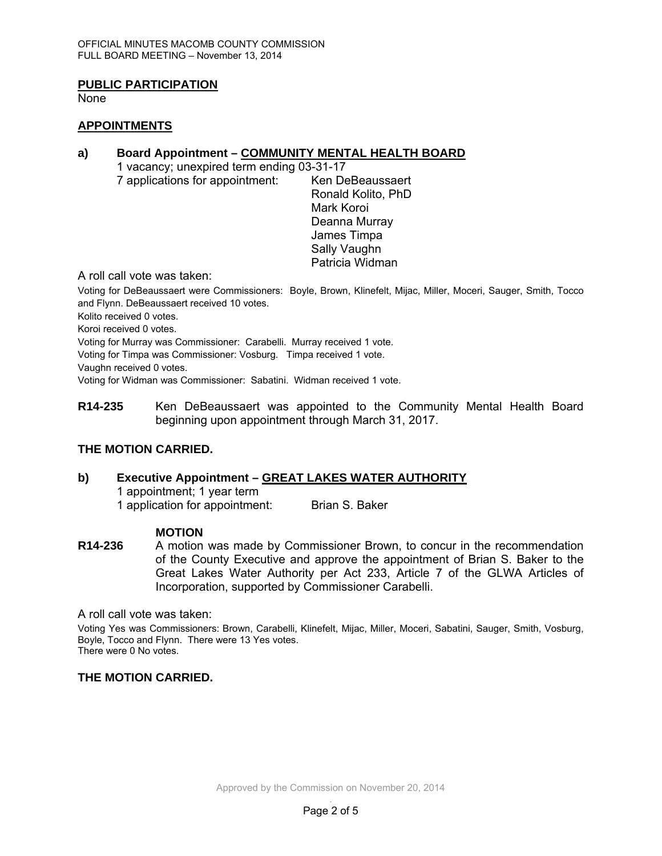## **PUBLIC PARTICIPATION**

None

#### **APPOINTMENTS**

#### **a) Board Appointment – COMMUNITY MENTAL HEALTH BOARD**

 1 vacancy; unexpired term ending 03-31-17 7 applications for appointment: Ken DeBeaussaert

 Ronald Kolito, PhD Mark Koroi Deanna Murray James Timpa Sally Vaughn Patricia Widman

A roll call vote was taken:

Voting for DeBeaussaert were Commissioners: Boyle, Brown, Klinefelt, Mijac, Miller, Moceri, Sauger, Smith, Tocco and Flynn. DeBeaussaert received 10 votes.

Kolito received 0 votes.

Koroi received 0 votes.

Voting for Murray was Commissioner: Carabelli. Murray received 1 vote.

Voting for Timpa was Commissioner: Vosburg. Timpa received 1 vote.

Vaughn received 0 votes.

Voting for Widman was Commissioner: Sabatini. Widman received 1 vote.

**R14-235** Ken DeBeaussaert was appointed to the Community Mental Health Board beginning upon appointment through March 31, 2017.

## **THE MOTION CARRIED.**

# **b) Executive Appointment – GREAT LAKES WATER AUTHORITY**

1 appointment; 1 year term 1 application for appointment: Brian S. Baker

## **MOTION**

**R14-236** A motion was made by Commissioner Brown, to concur in the recommendation of the County Executive and approve the appointment of Brian S. Baker to the Great Lakes Water Authority per Act 233, Article 7 of the GLWA Articles of Incorporation, supported by Commissioner Carabelli.

A roll call vote was taken:

Voting Yes was Commissioners: Brown, Carabelli, Klinefelt, Mijac, Miller, Moceri, Sabatini, Sauger, Smith, Vosburg, Boyle, Tocco and Flynn. There were 13 Yes votes. There were 0 No votes.

**THE MOTION CARRIED.**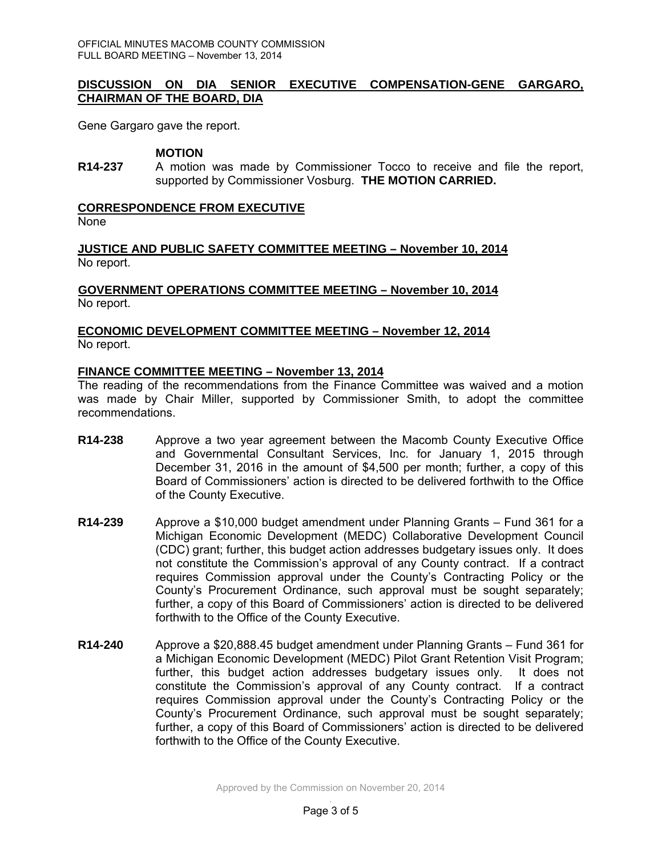## **DISCUSSION ON DIA SENIOR EXECUTIVE COMPENSATION-GENE GARGARO, CHAIRMAN OF THE BOARD, DIA**

Gene Gargaro gave the report.

#### **MOTION**

**R14-237** A motion was made by Commissioner Tocco to receive and file the report, supported by Commissioner Vosburg. **THE MOTION CARRIED.** 

#### **CORRESPONDENCE FROM EXECUTIVE**

None

**JUSTICE AND PUBLIC SAFETY COMMITTEE MEETING – November 10, 2014** No report.

#### **GOVERNMENT OPERATIONS COMMITTEE MEETING – November 10, 2014** No report.

## **ECONOMIC DEVELOPMENT COMMITTEE MEETING – November 12, 2014** No report.

#### **FINANCE COMMITTEE MEETING – November 13, 2014**

The reading of the recommendations from the Finance Committee was waived and a motion was made by Chair Miller, supported by Commissioner Smith, to adopt the committee recommendations.

- **R14-238** Approve a two year agreement between the Macomb County Executive Office and Governmental Consultant Services, Inc. for January 1, 2015 through December 31, 2016 in the amount of \$4,500 per month; further, a copy of this Board of Commissioners' action is directed to be delivered forthwith to the Office of the County Executive.
- **R14-239** Approve a \$10,000 budget amendment under Planning Grants Fund 361 for a Michigan Economic Development (MEDC) Collaborative Development Council (CDC) grant; further, this budget action addresses budgetary issues only. It does not constitute the Commission's approval of any County contract. If a contract requires Commission approval under the County's Contracting Policy or the County's Procurement Ordinance, such approval must be sought separately; further, a copy of this Board of Commissioners' action is directed to be delivered forthwith to the Office of the County Executive.
- **R14-240** Approve a \$20,888.45 budget amendment under Planning Grants Fund 361 for a Michigan Economic Development (MEDC) Pilot Grant Retention Visit Program; further, this budget action addresses budgetary issues only. It does not constitute the Commission's approval of any County contract. If a contract requires Commission approval under the County's Contracting Policy or the County's Procurement Ordinance, such approval must be sought separately; further, a copy of this Board of Commissioners' action is directed to be delivered forthwith to the Office of the County Executive.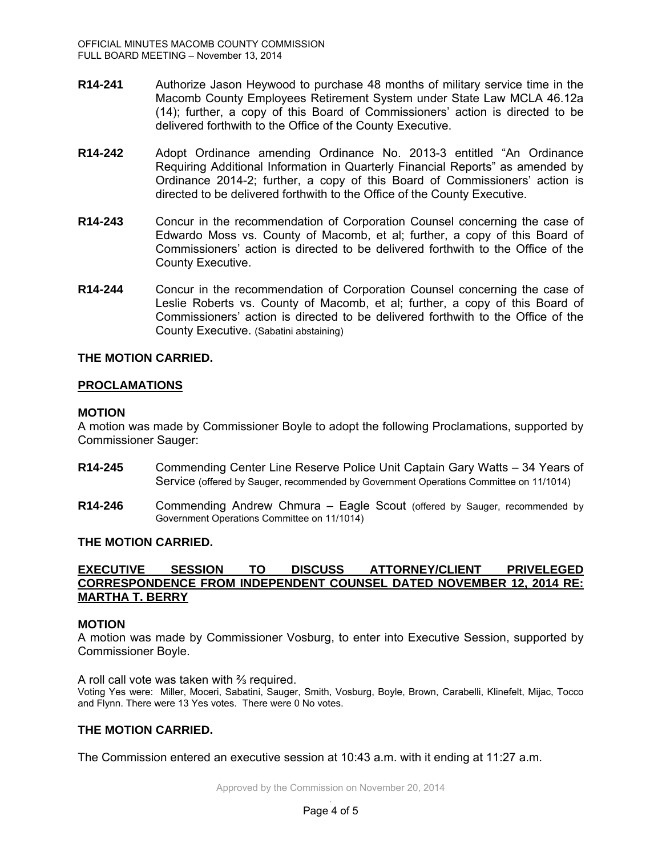- **R14-241** Authorize Jason Heywood to purchase 48 months of military service time in the Macomb County Employees Retirement System under State Law MCLA 46.12a (14); further, a copy of this Board of Commissioners' action is directed to be delivered forthwith to the Office of the County Executive.
- **R14-242** Adopt Ordinance amending Ordinance No. 2013-3 entitled "An Ordinance Requiring Additional Information in Quarterly Financial Reports" as amended by Ordinance 2014-2; further, a copy of this Board of Commissioners' action is directed to be delivered forthwith to the Office of the County Executive.
- **R14-243** Concur in the recommendation of Corporation Counsel concerning the case of Edwardo Moss vs. County of Macomb, et al; further, a copy of this Board of Commissioners' action is directed to be delivered forthwith to the Office of the County Executive.
- **R14-244** Concur in the recommendation of Corporation Counsel concerning the case of Leslie Roberts vs. County of Macomb, et al; further, a copy of this Board of Commissioners' action is directed to be delivered forthwith to the Office of the County Executive. (Sabatini abstaining)

## **THE MOTION CARRIED.**

## **PROCLAMATIONS**

#### **MOTION**

A motion was made by Commissioner Boyle to adopt the following Proclamations, supported by Commissioner Sauger:

- **R14-245** Commending Center Line Reserve Police Unit Captain Gary Watts 34 Years of Service (offered by Sauger, recommended by Government Operations Committee on 11/1014)
- **R14-246** Commending Andrew Chmura Eagle Scout (offered by Sauger, recommended by Government Operations Committee on 11/1014)

#### **THE MOTION CARRIED.**

#### **EXECUTIVE SESSION TO DISCUSS ATTORNEY/CLIENT PRIVELEGED CORRESPONDENCE FROM INDEPENDENT COUNSEL DATED NOVEMBER 12, 2014 RE: MARTHA T. BERRY**

#### **MOTION**

A motion was made by Commissioner Vosburg, to enter into Executive Session, supported by Commissioner Boyle.

A roll call vote was taken with ⅔ required.

Voting Yes were: Miller, Moceri, Sabatini, Sauger, Smith, Vosburg, Boyle, Brown, Carabelli, Klinefelt, Mijac, Tocco and Flynn. There were 13 Yes votes. There were 0 No votes.

#### **THE MOTION CARRIED.**

The Commission entered an executive session at 10:43 a.m. with it ending at 11:27 a.m.

Approved by the Commission on November 20, 2014